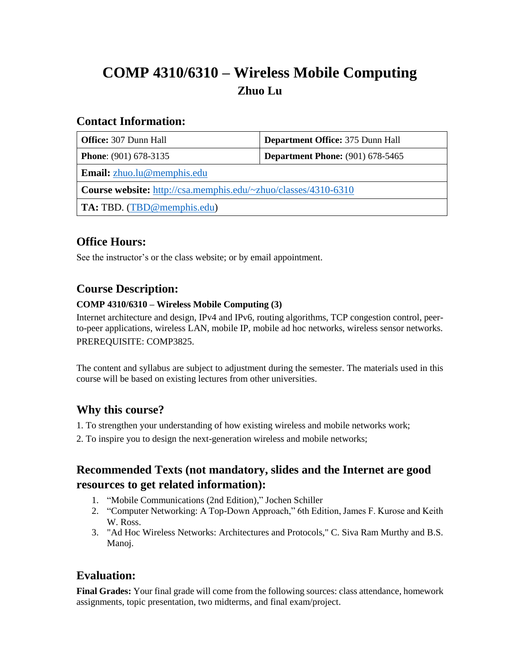# **COMP 4310/6310 – Wireless Mobile Computing Zhuo Lu**

#### **Contact Information:**

| <b>Office:</b> 307 Dunn Hall                                          | <b>Department Office: 375 Dunn Hall</b> |  |
|-----------------------------------------------------------------------|-----------------------------------------|--|
| <b>Phone:</b> (901) 678-3135                                          | <b>Department Phone:</b> (901) 678-5465 |  |
| Email: zhuo.lu@memphis.edu                                            |                                         |  |
| <b>Course website:</b> http://csa.memphis.edu/~zhuo/classes/4310-6310 |                                         |  |
| <b>TA:</b> TBD. (TBD@memphis.edu)                                     |                                         |  |

## **Office Hours:**

See the instructor's or the class website; or by email appointment.

### **Course Description:**

#### **COMP 4310/6310 – Wireless Mobile Computing (3)**

Internet architecture and design, IPv4 and IPv6, routing algorithms, TCP congestion control, peerto-peer applications, wireless LAN, mobile IP, mobile ad hoc networks, wireless sensor networks. PREREQUISITE: COMP3825.

The content and syllabus are subject to adjustment during the semester. The materials used in this course will be based on existing lectures from other universities.

### **Why this course?**

- 1. To strengthen your understanding of how existing wireless and mobile networks work;
- 2. To inspire you to design the next-generation wireless and mobile networks;

### **Recommended Texts (not mandatory, slides and the Internet are good resources to get related information):**

- 1. "Mobile Communications (2nd Edition)," Jochen Schiller
- 2. "Computer Networking: A Top-Down Approach," 6th Edition, James F. Kurose and Keith W. Ross.
- 3. "Ad Hoc Wireless Networks: Architectures and Protocols," C. Siva Ram Murthy and B.S. Manoj.

### **Evaluation:**

**Final Grades:** Your final grade will come from the following sources: class attendance, homework assignments, topic presentation, two midterms, and final exam/project.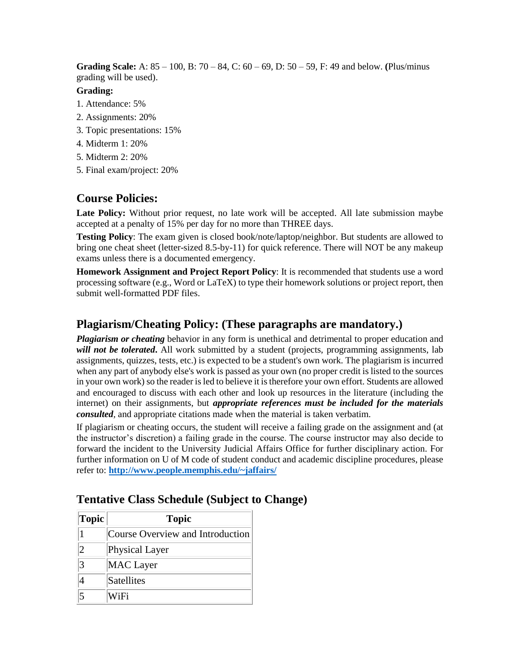**Grading Scale:** A: 85 – 100, B: 70 – 84, C: 60 – 69, D: 50 – 59, F: 49 and below. **(**Plus/minus grading will be used).

#### **Grading:**

- 1. Attendance: 5%
- 2. Assignments: 20%
- 3. Topic presentations: 15%
- 4. Midterm 1: 20%
- 5. Midterm 2: 20%
- 5. Final exam/project: 20%

### **Course Policies:**

**Late Policy:** Without prior request, no late work will be accepted. All late submission maybe accepted at a penalty of 15% per day for no more than THREE days.

**Testing Policy**: The exam given is closed book/note/laptop/neighbor. But students are allowed to bring one cheat sheet (letter-sized 8.5-by-11) for quick reference. There will NOT be any makeup exams unless there is a documented emergency.

**Homework Assignment and Project Report Policy**: It is recommended that students use a word processing software (e.g., Word or LaTeX) to type their homework solutions or project report, then submit well-formatted PDF files.

### **Plagiarism/Cheating Policy: (These paragraphs are mandatory.)**

*Plagiarism or cheating* behavior in any form is unethical and detrimental to proper education and will not be tolerated. All work submitted by a student (projects, programming assignments, lab assignments, quizzes, tests, etc.) is expected to be a student's own work. The plagiarism is incurred when any part of anybody else's work is passed as your own (no proper credit is listed to the sources in your own work) so the reader is led to believe it is therefore your own effort. Students are allowed and encouraged to discuss with each other and look up resources in the literature (including the internet) on their assignments, but *appropriate references must be included for the materials consulted,* and appropriate citations made when the material is taken verbatim.

If plagiarism or cheating occurs, the student will receive a failing grade on the assignment and (at the instructor's discretion) a failing grade in the course. The course instructor may also decide to forward the incident to the University Judicial Affairs Office for further disciplinary action. For further information on U of M code of student conduct and academic discipline procedures, please refer to: **<http://www.people.memphis.edu/~jaffairs/>**

| <b>Topic</b> | <b>Topic</b>                     |
|--------------|----------------------------------|
|              | Course Overview and Introduction |
| 2            | Physical Layer                   |
| 3            | <b>MAC</b> Layer                 |
|              | Satellites                       |
|              | WiFi                             |

#### **Tentative Class Schedule (Subject to Change)**